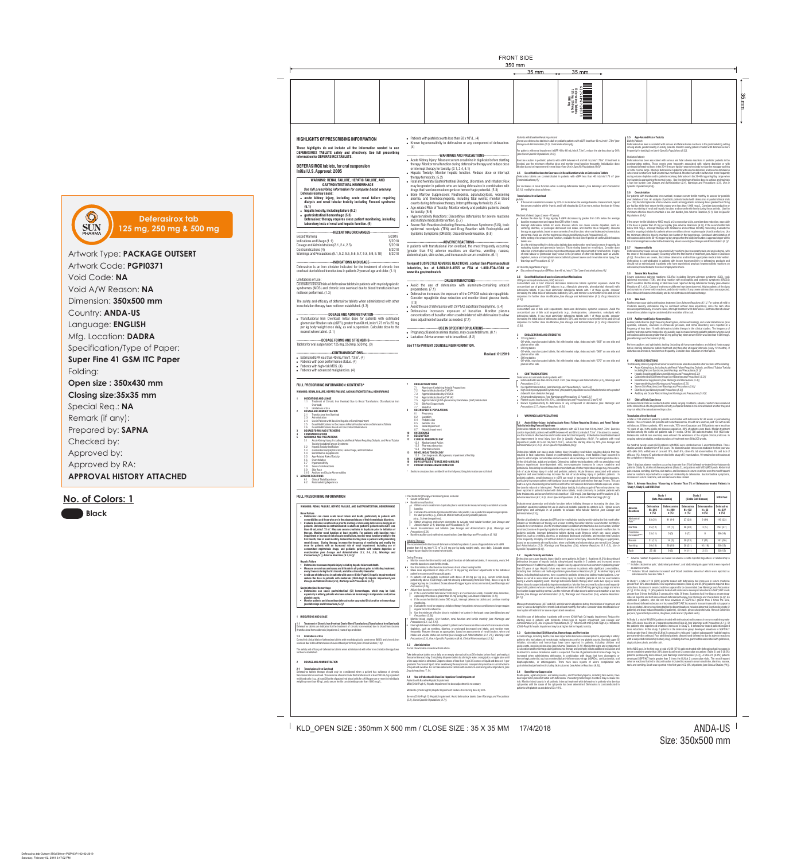ANDA-US Size: 350x500 mm

KLD\_OPEN SIZE : 350mm X 500 mm / CLOSE SIZE : 35 X 35 MM 17/4/2018

5.6 Overchelation<br>5.7 Hypersensiti 5.7 Hypersensitivity 5.8 Severe Skin Reactions

```
1.1 Treatment of Chronic Iron Overload Due to Blood Transfusions (Transfusional Iron 
           Overload)
1.3 Limitations of Use
  2 DOSAGE AND ADMINISTRATION
        2.1 Transfusional Iron Overload
         Administration
        2.4 Use in Patients with Baseline Hepatic or Renal Impairment
  2.5 Dose Modifications for Decreases in Renal Function while on Deferasirox Tablets
2.6 Dose Modifications Based on Concomitant Medications
3 DOSAGE FORMS AND STRENGTHS
 4 CONTRAINDICATIONS
5 WARNINGS AND PRECAUTIONS
        5.1 Acute Kidney Injury, Including Acute Renal Failure Requiring Dialysis, and Renal Tubular 
             ixicity Including Fanconi Syndrome
5.2 Hepatic Toxicity and Failure<br>5.3 Gastrointestinal (GI) Ulcerati
         5.3 Gastrointestinal (GI) Ulceration, Hemorrhage, and Perforation
5.4 Bone Marrow Suppression<br>5.5 Age-Related Risk of Toxicit
        5.5 Age-Related Risk of Toxicity
```
5.9 Skin Rash 5.10 Auditory and Ocular Abnormalities

**6 ADVERSE REACTIONS**

6.1 Clinical Trials Experience 6.2 Postmarketing Experience

7.6 Bile Acid Sequestrants 7.7 Busulfan **8 USE IN SPECIFIC POPULATIONS** 8.1 Pregnancy 8.2 Lactation 8.4 Pediatric Use Geriatric Use 8.6 Renal Impairment 8.7 Hepatic Impairment **10 OVERDOSAGE 11 DESCRIPTION 12 CLINICAL PHARMACOLOGY** 12.1 Mechanism of Action 12.2 Pharmacodynamics 12.3 Pharmacokinetics **13 NONCLINICAL TOXICOLOGY**

13.1 Carcinogenesis, Mutagenesis, Impairment of Fertility **14 CLINICAL STUDIES 16 HOW SUPPLIED/STORAGE AND HANDLING 17 PATIENT COUNSELING INFORMATION**

# **FULL PRESCRIBING INFORMATION**

# **WARNING: RENAL FAILURE, HEPATIC FAILURE, AND GASTROINTESTINAL HEMORRHAGE**

### **Renal Failur**

! **Deferasirox can cause acute renal failure and death, particularly in patients with comorbidities and those who are in the advanced stages of their hematologic disorders.** ! **Evaluate baseline renal function prior to starting or increasing deferasirox dosing in all patients. Deferasirox is contraindicated in adult and pediatric patients with eGFR less**  than 40 mL/min/1.73 m<sup>2</sup>. Measure serum creatinine in duplicate prior to initiation of<br>therapy. Monitor renal function at least monthly. For patients with baseline renal **impairment or increased risk of acute renal failure, monitor renal function weekly for the**  first month, then at least monthly. Reduce the starting dose in patients with preexist **renal disease. During therapy, increase the frequency of monitoring and modify the** 

dose for patients with an increased risk of renal impairment, including use of<br>concomitant nephrotoxic drugs, and pediatric patients with volume depletion or<br>overchelation [see Dosage and Administration (2.1, 2.4, 2.5), Wa

### **Hepatic Failure**

*Precautions (5.6)].* I . Adjust dose based on serum ferritin level

- ! **Deferasirox can cause hepatic injury including hepatic failure and death. Measure serum transaminases and bilirubin in all patients prior to initiating treatmen**
- **very 2 weeks during the first month, and at least r** ! **Avoid use of deferasirox in patients with severe (Child-Pugh C) hepatic impairment and**
- **reduce the dose in patients with moderate (Child-Pugh B) hepatic impairment** *[see Dosage and Administration (2.4), Warnings and Precautions (5.2)]***.**

If the serum ferritin falls below 1000 mcg/L at 2 consecutive visits, consider dose reduction, especially if the dose is greater than 25 mg per kg/day [*see Adverse Reactions (6.1)].* o If the serum ferritin falls below 500 mcg/L, interrupt deferasirox tablets and continue monthly monitoring. o Evaluate the need for ongoing chelation therapy for patients whose conditions no longer require regular blood transfusions. o Use the minimum effective dose to maintain iron burden in the target range *[see Warnings and* 

- **Gastrointestinal Hemorrhage** ! **Deferasirox can cause gastrointestinal (GI) hemorrhages, which may be fatal,**  especially in elderly patients who have advanced hemat **platelet counts.** ! **Monitor patients and discontinue deferasirox for suspected GI ulceration or hemorrhage**
- *[see Warnings and Precautions (5.3)]***.**

### **1 INDICATIONS AND USAGE**

# **1.1 Treatment of Chronic Iron Overload Due to Blood Transfusions (Transfusional Iron Overload)** Deferasirox tablets are indicated for the treatment of chronic iron overload due to blood transfusions (transfusional hemosiderosis) in patients 2 years of age and older.

**1.3 Limitations of Use** Controlled clinical trials of deferasirox tablets with myelodysplastic syndromes (MDS) and chronic iron overload due to blood transfusions have not been performed *[see Clinical Studies (14)]*.

The safety and efficacy of deferasirox tablets when administered with other iron chelation therapy have not been established.

# **2 DOSAGE AND ADMINISTRATION**

- **2.1 Transfusional Iron Overload** Deferasirox tablets therapy should only be considered when a patient has evidence of chronic
- transfusional iron overload. The evidence should include the transfusion of at least 100 mL/kg of packed red blood cells (e.g., at least 20 units of packed red blood cells for a 40 kg person or more in individuals weighing more than 40 kg), and a serum ferritin consistently greater than 1000 mcg/L.

Prior to starting therapy or increasing dose, evaluate:

baseline

for adult patients (e.g., CKD-EPI, MDRD method) and in pediatric patients

(e.g., Schwartz equations).

(mg per kg per day) to the nearest whole table

o Obtain urinalyses and serum electrolytes to evaluate renal tubular function *[see Dosage and* 

 $\overline{\text{H}}$ ed initial dose of deferasirox tablets for patients 2 years of age and older with eGFR greater than 60 mL/min/1.73 m<sup>2</sup> is 20 mg per kg body weight orally, once daily. Calculate doses

*Administration (2.4), Warnings and Precautions (5.1)].*

 $\blacksquare$  Use the minimum effective dose to achieve a trend of decreasing ferritin.

! Serum transaminases and bilirubin *[see Dosage and Administration (2.4), Warnings and* 

. Monitor serum ferritin monthly and adjust the dose of deferasirox tablets, if necessary, every 3-6

Make dose adjustments in steps of 5 or 10 mg per kg and tailor adjustments to the individual

*Precautions (5.2)]*

! Baseline auditory and ophthalmic examinations *[see Warnings and Precautions (5.10)]*

During Therapy:

\* Sections or subsections omitted from the full prescribing information are not liste

Obtain serum creatinine in duplicate (due to variations in measurements) to establish accurate

Calculate the estimated glomerular filtration rate (eGFR). Use a prediction equation appropriate

months based on serum ferritin trends.

patient's response and therapeutic goals.

Serum ferritin leve  $\parallel \bullet \quad$  Baseline renal function

> ! In patients not adequately controlled with doses of 30 mg per kg (e.g., serum ferritin levels persistently above 2,500 mcg/L and not showing a decreasing trend over time), doses of up to 40 mg per kg may be considered. Doses above 40 mg per kg are not recommended *[see Warnings and*

*Precautions (5.6)].*

! Monitor blood counts, liver function, renal function and ferritin monthly *[see Warnings and Precautions (5.1, 5.2, 5.4)].* ! Interrupt deferasirox tablets for pediatric patients who have acute illnesses which can cause volume depletion, such as vomiting, diarrhea, or prolonged decreased oral intake, and monitor more frequently. Resume therapy as appropriate, based on assessments of renal function, when oral intake and volume status are normal *[see Dosage and Administration (2.4, 2.5), Warnings and Precautions (5.1), Use in Specific Populations (8.4), Clinical Pharmacology (12.3)].*

**2.3 Administration**

erasirox tablets can cause acute kidney injury including renal failure requiring dialysis that has resulted in fatal outcomes. Based on postmarketing experience, most fatalities have occurred in patients with multiple comorbidities and who were in advanced stages of their hematological disorders. In the clinical trials, adult and pediatric Deferasirox tablets-treated patients with no preexisting renal disease experienced dose-dependent mild, non-progressive increases in serum creatinine and proteinuria. Preexisting renal disease and concomitant use of other nephrotoxic drugs may increase the risk of acute kidney injury in adult and pediatric patients. Acute illnesses associated with volume depletion and overchelation may increase the risk of acute kidney injury in pediatric patients. In pediatric patients, small decreases in eGFR can result in increases in deferasirox tablets exposure, particularly in younger patients with body surface area typical of patients less than age 7 years. This can lead to a cycle of worsening renal function and further increases in deferasirox tablets exposure, unless the dose is reduced or interrupted. Renal tubular toxicity, including acquired Fanconi syndrome, has been reported in patients treated with deferasirox tablets, most commonly in pediatric patients with<br>beta-thalassemia and serum ferritin levels less than 1,500 mcg/L *[see Warnings and Precautions (5.6), Adverse Reactions (6.1, 6.2), Use in Special Populations (8.4*), *Clinical Pharmacology (12.3)].*

Do not chew tablets or swallow them whole.

**Patients with Baseline Hepatic Impairment** 

Initiating Therapy:

Take deferasirox tablets once daily on an empty stomach at least 30 minutes before food, preferably at the same time each day. Completely disperse tablets by stirring in water, orange juice, or apple juice until a fine suspension is obtained. Disperse doses of less than 1 g in 3.5 ounces of liquid and doses of 1 g or greater in 7 ounces of liquid. After swallowing the suspension, resuspend any residue in a small volume of liquid and swallow. Do not take deferasirox tablets with aluminum-containing antacid products *[see* 

*Drug Interactions (7.1)]*.

**2.4 Use in Patients with Baseline Hepatic or Renal Impairment**

onitor all patients for changes in eGFR and for renal tubular toxicity weekly during the first month after iation or modification of therapy and at least monthly thereafter. Monitor serum ferritin monthly to valuate for overchelation. Use the minimum dose to establish and maintain a low iron burden. Monito renal function more frequently in patients with preexisting renal disease or decreased renal function. In diatric patients, interrupt deferasirox tablets during acute illnesses which can cause volume epletion, such as vomiting, diarrhea, or prolonged decreased oral intake, and monitor renal function more frequently. Promptly correct fluid deficits to prevent renal injury. Resume therapy as appropriate, based on assessments of renal function, when oral intake and volume status are normal [*see Dosage and Administration (2.5), Warnings and Precautions (5.6), Adverse Reactions (6.1, 6.2), Use in Specific Populations (8.4)].*

# Mild (Child-Pugh A) Hepatic Impairment: No dose adjustment is necessary.

Moderate (Child-Pugh B) Hepatic Impairment: Reduce the starting dose by 50%.

Severe (Child-Pugh C) Hepatic Impairment: Avoid deferasirox tablets *[see Warnings and Precautions (5.2), Use in Specific Populations (8.7)]*.

Agents Inducing UDP-glucuronosyltransferase (UGT) Metabolism

rasirox can cause hepatic injury, fatal in some patients. In Study 1, 4 patients (1.3%) discontinued deferasirox because of hepatic toxicity (drug-induced hepatitis in 2 patients and increased serum transaminases in 2 additional patients). Hepatic toxicity appears to be more common in patients greater an 55 years of age. Hepatic failure was more common in patients with significant comorbidities including liver cirrhosis and multi-organ failure *[see Adverse Reactions (6.1)]*. Acute liver injury and<br>failure, including fatal outcomes, have occurred in pediatric deferasirox tablets-treated patients. Liver ailure occurred in association with acute kidney injury in pediatric patients at risk for overchelatio uring a volume depleting event. Interrupt deferasirox tablets therapy when acute liver injury or acute kidney injury is suspected and during volume depletion*.* Monitor liver and renal function more frequently in pediatric patients who are receiving deferasirox tablets in the 20-40 mg per kg/day range and when iron burden is approaching normal. Use the minimum effective dose to achieve and maintain a low iron burden *[see Dosage and Administration (2.5), Warnings and Precautions (5.6), Adverse Reactions (6.1)].*

 $\mathsf{nor}$  hage, including deaths, has been reported in deferasirox-treated patients, especially in elderly patients who had advanced hematologic malignancies and/or low platelet counts. Nonfatal upper GI irritation, ulceration and hemorrhage have been reported in patients, including children and adolescents, receiving deferasirox *[see Adverse Reactions (6.1)]*. Monitor for signs and symptoms of GI ulceration and hemorrhage during deferasirox therapy and promptly initiate additional evaluation and eatment if a serious GI adverse event is suspected. The risk of gastrointestinal hemorrhage may be increased when administering deferasirox in combination with drugs that have ulcerogenic or hemorrhagic potential, such as nonsteroidal anti-inflammatory drugs (NSAIDs), corticosteroids, oral bisphosphonates, or anticoagulants. There have been reports of ulcers complicated with gastrointestinal perforation (including fatal outcome) *[see Adverse Reactions (6.2)]*.

Neutropenia, agranulocytosis, worsening anemia, and thrombocytopenia, including fatal events, have been reported in patients treated with deferasirox. Preexisting hematologic disorders may increase this risk. Monitor blood counts in all patients. Interrupt treatment with deferasirox in patients who develop cytopenias until the cause of the cytopenia has been determined. Deferasirox is contraindicated in patients with platelet counts below 50 x 10<sup>9</sup>/L.

**FRONT SIDE** 

350 mm  $\frac{35 \text{ mm}}{2}$ 35 mm in a component and the component of the component of the component of the component of the component of the component of the component of the component of the component of the component of the component of the component of **Deferasirox Tablets 125 mg, 250 mg &** arasirox Ianu<del>c</del><br>5 mg, 250 mg 4<br>500 mg ပ္က **PORT OF ALSO AND** *Patients with Baseline Renal Impairment* **5.5 Age-Related Risk of Toxicity HIGHLIGHTS OF PRESCRIBING INFORMATION** • Patients with platelet counts less than  $50 \times 10^9$ /L. (4) Do not use deferasirox tablets in adult or pediatric patients with eGFR less than 40 mL/min/1.73m<sup>2</sup> [see *Elderly Patients* Deferasirox has been associated with serious and fatal adverse reactions in the postmarketing setting ! Known hypersensitivity to deferasirox or any component of deferasirox. *Dosage and Administration (2.5), Contraindications (4)].* **These highlights do not include all the information needed to use**  (4) ong adults, predominantly in elderly patients. Monitor elderly patients treated with deferasirox more  $f$ ently for toxicity *[see Use in Specific Populations (8.5)]*. For patients with renal impairment (eGFR 40 to 60 mL/min/1.73m²), reduce the starting dose by 50% **DEFERASIROX TABLETS safely and effectively. See full prescribing**  *[see Use in Specific Populations (8.6)]*. ---WARNINGS AND PRECAUTIONS--**information for DEFERASIROX TABLETS.** *Pediatric Patients* . Acute Kidney Injury: Measure serum creatinine in duplicate before starting rasirox has been associated with serious and fatal adverse reactions in pediatric patients in the Exercise caution in pediatric patients with eGFR between 40 and 60 mL/min/1.73m<sup>2</sup>. If treatment is therapy. Monitor renal function during deferasirox therapy and reduce dose needed, use the minimum effective dose and monitor renal function frequently. Individualize dose stmarketing setting. These events were frequently associated with volume depletion or with **DEFERASIROX tablets, for oral suspension**  $i$ nued deferasirox doses in the 20-40 mg per kg/day range when body iron burden was approa vement in renal injury *[see Use in Specific Populations (8.6)*] or interrupt therapy for toxicity. (2.1, 2.4, 5.1) or in the normal range. Interrupt deferasirox in patients with volume depletion, and resume deferasirox **Initial U.S. Approval: 2005** ! Hepatic Toxicity: Monitor hepatic function. Reduce dose or interrupt **2.5 Dose Modifications for Decreases in Renal Function while on Deferasirox Tablets** when renal function and fluid volume have normalized. Monitor liver and renal function more frequently during volume depletion and in patients receiving deferasirox in the 20-40 mg per kg/day range when Deferasirox tablets are contraindicated in patients with eGFR less than 40 mL/min/1.73 m<sup>2</sup> [see therapy for toxicity. (5.2) **WARNING: RENAL FAILURE, HEPATIC FAILURE, AND**  *Contraindications (4)]* iron burden is approaching the normal range. Use the minimum effective dose to achieve and maintain ! Fatal and Nonfatal Gastrointestinal Bleeding, Ulceration, and Irritation: Risk a low iron burden *[see Dosage and Administration (2.4), Warnings and Precautions (5.6), Use in*  **GASTROINTESTINAL HEMORRHAGE** may be greater in patients who are taking deferasirox in combination with For decreases in renal function while receiving deferasirox tablets *[see Warnings and Precautions Specific Populations (8.4)]. See full prescribing information for complete boxed warning. (5.1)],* modify the dose as follows: drugs that have known ulcerogenic or hemorrhagic potential. (5.3) **5.6** Overchelatio **Deferasirox may cause:** • Bone Marrow Suppression: Neutropenia, agranulocytosis, worsening For patients with transfusional iron overload, measure serum ferritin monthly to assess for possible **Transfusional Iron Overload** ! **acute kidney injury, including acute renal failure requiring**  overchelation of iron. An analysis of pediatric patients treated with deferasirox in pooled clinical trials anemia, and thrombocytopenia, including fatal events; monitor blood *Adults:* ! If the serum creatinine increases by 33% or more above the average baseline measurement, repeat **dialysis and renal tubular toxicity including Fanconi syndrome**  counts during deferasirox therapy. Interrupt therapy for toxicity. (5.4) -158) found a higher rate of renal adverse events among patients receiving doses greater than 25 mg the serum creatinine within 1 week, and if still elevated by 33% or more, reduce the dose by 10 mg per kg/day while their serum ferritin values were less than 1,000 mcg/L. Consider dose reduction or **(5.1)** ! Age-related Risk of Toxicity: Monitor elderly and pediatric patients closely per kg. closer monitoring of renal and hepatic function, and serum ferritin levels during these periods. Use the minimum effective dose to maintain a low-iron burden *[see Adverse Reaction (6.1), Use in Specific*  ! **hepatic toxicity, including failure (5.2)** for toxicity. (5.5) ! **gastrointestinal hemorrhage (5.3)** • Hypersensitivity Reactions: Discontinue deferasirox for severe reactions *Pediatric Patients (ages 2 years–17 years): Populations (8.4)].* Reduce the dose by 10 mg/ kg/day if eGFR decreases by greater than 33% below the average **Deferasirox therapy requires close patient monitoring, including**  and institute medical intervention. (5.7) baseline measurement and repeat the eGFR within 1 week. If the serum ferritin falls below 1000 mcg/L at 2 consecutive visits, consider dose reduction, especially **laboratory tests of renal and hepatic function. (5)** Interrupt deferasirox tablets for acute illnesses which can cause volume depletion, such as ! Severe Skin Reactions including Stevens-Johnson Syndrome (SJS), toxic if the dose is greater than 25 mg per kg/day [*see Adverse Reactions (6.1)*]. If the serum ferritin falls below 500 mcg/L, interrupt therapy with deferasirox and continue monthly monitoring. Evaluate the epidermal necrolysis (TEN) and Drug Reaction with Eosinophilia and vomiting, diarrhea, or prolonged decreased oral intake, and monitor more frequently. Resume<br>therapy as appropriate, based on assessments of renal function, when oral intake and volume status<br>are normal. Avoid use of other need for ongoing chelation for patients whose conditions do not require regular blood transfusions. Use **-------------------------------RECENT MAJOR CHANGES------------------------** Systemic Symptoms (DRESS): Discontinue deferasirox. (5.8) the minimum effective dose to maintain iron burden in the target range. Continued administration of Boxed Warning ! In the setting of decreased renal function, evaluate the risk benefit profile of continued deferasirox deferasirox tablets in the 20-40 mg per kg/day range when the body iron burden is approaching or within the normal range has resulted in life-threatening adverse events *[see Dosage and Administration (2.1)]*. Indications and Usage (1.1) 5/2018 --ADVERSE REACTIONS-tablets use. Dosage and Administration (2.1, 2.4, 2.5) 5/2018<br>Contraindications (4) 5/2018 Use the minimum effective deferasirox tablets dose and monitor renal function more frequently, by In patients with transfusional iron overload, the most frequently occurring evaluating tubular and glomerular function. Titrate dosing based on renal injury. Consider dose **5.7 Hypersensitivity**  Contraindications (4)<br>Warnings and Precautions (5.1, 5.2, 5.5, 5.6, 5.7, 5.8, 5.9, 5.10) 5/2018 (greater than 5%) adverse reactions are diarrhea, vomiting, nausea, isirox may cause serious hypersensitivity reactions (such as anaphylaxis and angioedema), with reduction or interruption and less nephrotoxic therapies until improvement of renal function. If signs Warnings and Precautions (5.1, 5.2, 5.5, 5.6, 5.7, 5.8, 5.9, 5.10) of renal tubular or glomerular injury occur in the presence of other risk factors such as volume the onset of the reaction usually occurring within the first month of treatment *[see Adverse Reactions*  abdominal pain, skin rashes, and increases in serum creatinine. (6.1) depletion, reduce or interrupt deferasirox tablets to prevent severe and irreversible renal injury *[see (6.2)]*. If reactions are severe, discontinue deferasirox and institute appropriate medical intervention *Warnings and Precautions (5.1)]*. Deferasirox is contraindicated in patients with known hypersensitivity to deferasirox products and --INDICATIONS AND USAGE-**To report SUSPECTED ADVERSE REACTIONS, contact Sun Pharmaceutical**  should not be reintroduced in patients who have experienced previous hypersensitivity reactions on deferasirox products due to the risk of anaphylactic shock. Deferasirox is an iron chelator indicated for the treatment of chronic iron **Industries, Inc. at 1-800-818-4555 or FDA at 1-800-FDA-1088 or**  A*ll Patients (regardless of age):*<br>• Discontinue therapy for eGFR less than 40 mL/min/1.73m² *[see Contraindications (4)].* overload due to blood transfusions in patients 2 years of age and older. (1.1) **www.fda.gov/medwatch**. **5.8 Severe Skin Reactions**  Severe cutaneous adverse reactions (SCARs) including Stevens-Johnson syndrome (SJS), toxic **2.6 Dose Modifications Based on Concomitant Medications** *UDP-glucuronosyltransferases (UGT) Inducers* Limitations of Use --DRUG INTERACTIONS-epidermal necrolysis (TEN), and drug reaction with eosinophilia and systemic symptoms (DRESS) which could be life-threatening or fatal have been reported during deferasirox therapy *[see Adverse*  Concomitant use of UGT inducers decreases deferasirox tablets systemic exposure. Avoid the Controlled clinical trials of deferasirox tablets in patients with myelodysplastic • Avoid the use of deferasirox with aluminum-containing antacid concomitant use of potent UGT inducers (e.g., rifampicin, phenytoin, phenobarbital, ritonavir) with *Reactions (6.1, 6.2)]*. Cases of erythema multiforme have been observed. Advise patients of the signs syndromes (MDS) and chronic iron overload due to blood transfusion have preparations. (7.1) deferasirox tablets. If you must administer deferasirox tablets with 1 of these agents, consider  $y$ mptoms of severe skin reactions, and closely monitor. If any severe skin reactions are suspected not been performed. (1.3) ! Deferasirox increases the exposure of the CYP2C8 substrate repaglinide. increasing the initial dose of deferasirox tablets by 50%, and monitor serum ferritin levels and clinical tinue deferasirox immediately and do not reintroduce deferasirox therapy. nses for further dose modification *[see Dosage and Administration (2.1), Drug Interactions* Consider repaglinide dose reduction and monitor blood glucose levels. **5.9 Skin Rash**  *(7.5)]*. The safety and efficacy of deferasirox tablets when administered with other (7.3) Rashes may occur during deferasirox treatment *[see Adverse Reactions (6.1)]*. For rashes of mild to iron chelation therapy have not been established. (1.3) *Bile Acid Sequestrants* moderate severity, deferasirox may be continued without dose adjustment, since the rash often • Avoid the use of deferasirox with CYP1A2 substrate theophylline. (7.4) resolves spontaneously. In severe cases, interrupt treatment with deferasirox. Reintroduction at a lower Concomitant use of bile acid sequestrants decreases deferasirox systemic exposure. Avoid the<br>concomitant use of bile acid sequestrants (e.g., cholestyramine, colesevelam, colestipol)<br>deferasirox tablets. If you must admini . Deferasirox increases exposure of busulfan. Monitor plasma dose with escalation may be considered after resolution of the rash. -DOSAGE AND ADMINISTRATION-concentrations of busulfan when coadministered with deferasirox to allow • Transfusional Iron Overload: Initial dose for patients with estimated **5.10 Auditory and Ocular Abnormalities**  dose adjustment of busulfan as needed. (7.7) increasing the initial dose of deferasirox tablets by 50%, and monitor serum ferritin levels and clinical responses for further dose modification *[see Dosage and Administration (2.1), Drug Interactions*  Auditory disturbances (high frequency hearing loss, decreased hearing), and ocular disturbances (lens glomerular filtration rate (eGFR) greater than 60 mL/min/1.73  $\text{m}^2$  is 20 mg *(7.6)]*. opacities, cataracts, elevations in intraocular pressure, and retinal disorders) were reported at a per kg body weight once daily, as oral suspension. Calculate dose to the ---USE IN SPECIFIC POPULATIONS-frequency of less than 1% with deferasirox tablets therapy in the clinical studies. The frequency of auditory adverse events irrespective of causality was increased among pediatric patients who received nearest whole tablet. (2.1) • Pregnancy: Based on animal studies, may cause fetal harm. (8.1) **3 DOSAGE FORMS AND STRENGTHS** deferasirox tablets doses greater than 25 mg per kg/day when serum ferritin was less than 1,000 mcg/L • Lactation: Advise women not to breastfeed. (8.2) ! 125 mg tablets Off-white, round uncoated tablets, flat with beveled edge, debossed with "568" on one side and *[see Warnings and Precautions (5.6)].* --DOSAGE FORMS AND STRENGTHS-Tablets for oral suspension: 125 mg, 250 mg, 500 mg. (3) plain on other side. **See 17 for PATIENT COUNSELING INFORMATION.** Perform auditory and ophthalmic testing (including slit-lamp examinations and dilated fundoscopy) before starting deferasirox tablets treatment and thereafter at regular intervals (every 12 months). If • 250 mg tablets Off-white, round uncoated tablets, flat with beveled edge, debossed with "569" on one side and disturbances are noted, monitor more frequently. Consider dose reduction or interruption. --CONTRAINDICATIONS **Revised: 01/2019** plain on other side. Estimated GFR less than  $40$  mL/min/1.73 m<sup>2</sup>. (4) ! 500 mg tablets Off-white, round uncoated tablets, flat with beveled edge, debossed with "570" on one side and **6 ADVERSE REACTIONS** . Patients with poor performance status. (4) The following clinically significant adverse reactions are also discussed in other sections of the labeling: plain on other side.  $\bullet$  Patients with high-risk MDS. (4) ! Acute Kidney Injury, Including Acute Renal Failure Requiring Dialysis, and Renal Tubular Toxicity  $\bullet$  Patients with advanced malignancies. (4) Including Fanconi Syndrome *[see Warnings and Precautions (5.1)]* ! Hepatic Toxicity and Failure *[see Warnings and Precautions (5.2)]*  **4 CONTRAINDICATIONS** sirox is contraindicated in patients wit ! Gastrointestinal (GI) Hemorrhage *[see Warnings and Precautions (5.3)]* ! Bone Marrow Suppression *[see Warnings and Precautions (5.4)]* • Estimated GFR less than 40 mL/min/1.73m<sup>2</sup> [see Dosage and Administration (2.5), Warnings and **FULL PRESCRIBING INFORMATION: CONTENTS\* 7 DRUG INTERACTIONS** *Precautions (5.1)];* ! Hypersensitivity *[see Warnings and Precautions (5.7)]* ! Poor performance status; *[see Warnings and Precautions (5.1 and 5.3)]*  ! Severe Skin Reactions *[see Warnings and Precautions (5.8)]* ! Skin Rash *[see Warnings and Precautions (5.9)]* Aluminum-Containing Antacid Preparation ! High-risk myelodysplastic syndromes; *(this patient population was not studied and is not expected*  Agents Metabolized by CYP3A4 **WARNING: RENAL FAILURE, HEPATIC FAILURE, AND GASTROINTESTINAL HEMORRHAGE** *to benefit from chelation therapy)*  ! Auditory and Ocular Abnormities *[see Warnings and Precautions (5.10)]* Agents Metabolized by CYP2C8 ! Advanced malignancies. *[see Warnings and Precautions (5.1 and 5.3)]* Agents Metabolized by CYP1A2 **1 INDICATIONS AND USAGE** • Platelet counts less than 50 x 10<sup>9</sup>/L; *[see Warnings and Precautions (5.3 and 5.4)]* **6.1 Clinical Trials Experience**

 $\circledcirc$ **Deferasirox tab** SUN **125 mg, 250 mg & 500 mg PHARMA** 

> under widely varying conditions, adverse reaction rates observed in the clinical trials of a drug cannot be directly compared to rates in the clinical trials of another drug and may not reflect the rates observed in practice.

*Precautions (5.7), Adverse Reactions (6.2)]*.

Known hypersensitivity to deferasirox or any component of deferasi

## **5 WARNINGS AND PRECAUTIONS 5.1 Acute Kidney Injury, Including Acute Renal Failure Requiring Dialysis, and Renal Tubular**

**Toxicity Including Fanconi Syndrome**<br>Deferasirox tablets are contraindicated in patients with eGFR less than 40 mL/min/1.73m². Exercise caution in pediatric patients with eGFR between 40 and 60 mL/minute/1.73 m². If treatment is needed,<br>use the minimum effective dose and monitor renal function frequently. Individualize dose titration based on improvement in renal injury *[see Use in Specific Populations (8.6)]*. For patients with renal impairment (eGFR 40 to 60 mL/min/1.73m<sup>2</sup>), reduce the starting dose by 50% *[see Dosage and*<br>*Administration (2.4, 2.5), Use in Specific Populations (8.6)]*.

> Table 1 displays adverse reactions occurring in greater than 5% of deferasirox-treated beta-thalassemia patients (Study 1), sickle cell disease patients (Study 3), and patients with MDS (MDS pool). Abdominal pain, nausea, vomiting, diarrhea, skin rashes, and increases in serum creatinine were the most frequent adverse reactions reported with a suspected relationship to deferasirox. Gastrointestinal symptoms, s in serum creatinine, and skin rash were dose related

Adverse reaction frequencies are based on adverse events reported regardless of relationship to study drug.

Includes 'abdominal pain', 'abdominal pain lower', and 'abdominal pain upper' which were reported as adverse events \*\*\* Includes 'blood creatinine increased' and 'blood creatinine abnormal' which were reported as

 adverse events. See also Table 2. In Study 1, a total of 113 (38%) patients treated with deferasirox had increases in serum creatinine greater than 33% above baseline on 2 separate occasions (Table 2) and 25 (8%) patients required dose reductions. Increases in serum creatinine appeared to be dose related *[see Warnings and Precautions (5.1)].* In this study, 17 (6%) patients treated with deferasirox developed elevations in SGPT/ALT levels<br>greater than 5 times the ULN at 2 consecutive visits. Of these, 2 patients had liver biopsy proven drug-

In Study 3, a total of 48 (36%) patients treated with deferasirox had increases in serum creatinine greate than 33% above baseline on 2 separate occasions (Table 2) *[see Warnings and Precautions (5.1)]*. Of the patients who experienced creatinine increases in Study 3, 8 deferasirox-treated patients required dose reductions. In this study, 5 patients in the deferasirox group developed elevations in SGPT/ALT levels greater than 5 times the ULN at 2 consecutive visits and 1 patient subsequently had deferasirox permanently discontinued. Four additional patients discontinued deferasirox due to adverse reactions with a suspected relationship to study drug, including diarrhea, pancreatitis associated with gallstones atypical tuberculosis, and skin rash.

In the MDS pool, in the first year, a total of 229 (37%) patients treated with deferasirox had increases in serum creatinine greater than 33% above baseline on 2 consecutive occasions (Table 2) and 8 (3.5%) patients permanently discontinued *[see Warnings and Precautions (5.1)]*. A total of 5 (0.8%) patients developed SGPT/ALT levels greater than 5 times the ULN at 2 consecutive visits. The most frequent adverse reactions that led to discontinuation included increases in serum creatinine, diarrhea, nausea,<br>rash, and vomiting. Death was reported in the first year in 52 (8%) of patients *[see Clinical Studies (14)]*.

Evaluate renal glomerular and tubular function before initiating therapy or increasing the dose. Use prediction equations validated for use in adult and pediatric patients to estimate GFR. Obtain serum electrolytes and urinalysis in all patients to evaluate renal tubular function *[see Dosage and Administration (2.1)].*

## **5.2 Hepatic Toxicity and Failure**

Measure transaminases (AST and ALT) and bilirubin in all patients before the initiation of treatment, and every 2 weeks during the first month and at least monthly thereafter. Consider dose modifications or interruption of treatment for severe or persistent elevations.

Avoid the use of deferasirox in patients with severe (Child-Pugh C) hepatic impairment. Reduce the starting dose in patients with moderate (Child-Pugh B) hepatic impairment *[see Dosage and Administration (2.4), Use in Specific Populations (8.7)]*. Patients with mild (Child-Pugh A) or moderate (Child-Pugh B) hepatic impairment may be at higher risk for hepatic toxicity.

### **5.3 Gastrointestinal (GI) Ulceration, Hemorrhage, and Perforation**

### **5.4 Bone Marrow Suppression**

# **Transfusional Iron Overload**

A total of 700 adult and pediatric patients were treated with deferasirox for 48 weeks in premarketing studies. These included 469 patients with beta-thalassemia, 99 with rare anemias, and 132 with sickle cell disease. Of these patients, 45% were male, 70% were Caucasian and 292 patients were less than 16 years of age. In the sickle cell disease population, 89% of patients were black. Median treatment duration among the sickle cell patients was 51 weeks. Of the 700 patients treated, 469 (403 betathalassemia and 66 rare anemias) were entered into extensions of the original clinical protocols. In ongoing extension studies, median durations of treatment were 88 to 205 weeks.

Six hundred twenty-seven (627) patients with MDS were enrolled across 5 uncontrolled trials. These studies varied in duration from 1 to 5 years. The discontinuation rate across studies in the first year was 46% (AEs 20%, withdrawal of consent 10%, death 8%, other 4%, lab abnormalities 3%, and lack of efficacy 1%). Among 47 patients enrolled in the study of 5-year duration, 10 remained on deferasirox at the completion of the study.

**Table 1. Adverse Reactions \*Occurring in Greater Than 5% of Deferasirox-treated Patients in Study 1, Study 3, and MDS Pool**

induced hepatitis and both discontinued deferasirox therapy *[see Warnings and Precautions (5.2)]*. An additional 2 patients, who did not have elevations in SGPT/ALT greater than 5 times the ULN, discontinued deferasirox because of increased SGPT/ALT. Increases in transaminases did not appear to be dose related. Adverse reactions that led to discontinuations included abnormal liver function tests (2 patients) and drug-induced hepatitis (2 patients), skin rash, glycosuria/proteinuria, Henoch Schönlein purpura, hyperactivity/insomnia, drug fever, and cataract (1 patient each).

# **No. of Colors: 1**



Artwork Type: **PACKAGE OUTSERT** Artwork Code: **PGPI0371** Void Code: **NA** Void A/W Reason: **NA** Dimension: **350x500 mm** Country: **ANDA-US** Language: **ENGLISH** Mfg. Location: **DADRA** Specification/Type of Paper: **Super Fine 41 GSM ITC Paper**  Folding: **Open size : 350x430 mm Closing size:35x35 mm**  Special Req.: **NA** Remark (if any):

Prepared by: **SAPNA** 

Checked by:

Approved by:

Approved by RA:

**APPROVAL HISTORY ATTACHED**

|                                    |                                            | Study 1<br>(Beta-thalassemia)               | Study 3<br>(Sickle Cell Disease)           | <b>MDS Pool</b>                            |                                          |  |
|------------------------------------|--------------------------------------------|---------------------------------------------|--------------------------------------------|--------------------------------------------|------------------------------------------|--|
| <b>Adverse</b><br><b>Reactions</b> | <b>Deferasirox</b><br>$N = 296$<br>$n$ (%) | <b>Deferoxamine</b><br>$N = 290$<br>$n$ (%) | <b>Deferasirox</b><br>$N = 132$<br>$n$ (%) | <b>Deferoxamine</b><br>$N = 63$<br>$n$ (%) | <b>Deferasirox</b><br>$N = 627$<br>n (%) |  |
| Abdominal<br>Pain**                | 63 (21)                                    | 41 (14)                                     | 37(28)                                     | 9(14)                                      | 145 (23)                                 |  |
| Diarrhea                           | 35(12)                                     | 21(7)                                       | 26 (20)                                    | 3(5)                                       | 297 (47)                                 |  |
| Creatinine<br>Increased***         | 33(11)                                     | 0(0)                                        | 9(7)                                       | $\Omega$                                   | 89 (14)                                  |  |
| Nausea                             | 31(11)                                     | 14(5)                                       | 30(23)                                     | 7(11)                                      | 161 (26)                                 |  |
| Vomiting                           | 30(10)                                     | 28(10)                                      | 28 (21)                                    | 10(16)                                     | 83 (13)                                  |  |
| Rash                               | 25(8)                                      | 9(3)                                        | 14(11)                                     | 3(5)                                       | 83 (13)                                  |  |

### Deferasirox tab-Outsert-350x500mm-PGPI0371-02-02-2019

### Saturday, February 02, 2019 2:47:02 PM